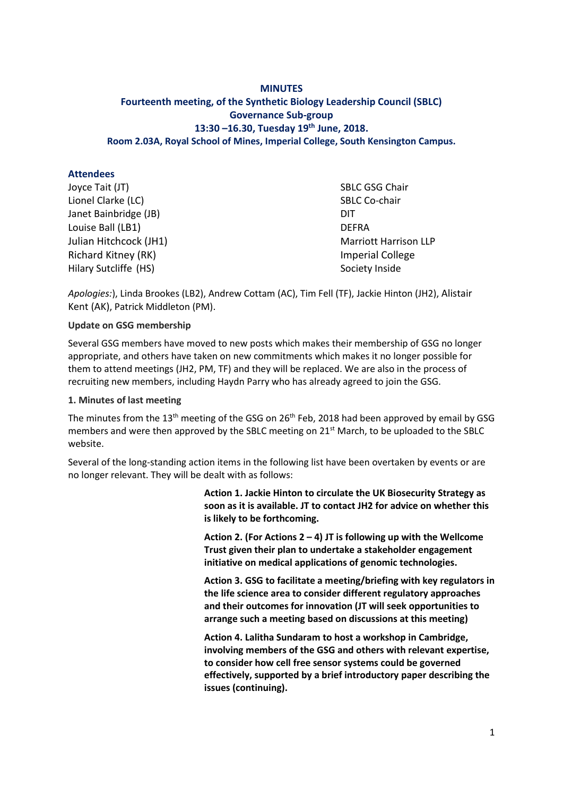## **MINUTES Fourteenth meeting, of the Synthetic Biology Leadership Council (SBLC) Governance Sub-group 13:30 –16.30, Tuesday 19th June, 2018. Room 2.03A, Royal School of Mines, Imperial College, South Kensington Campus.**

### **Attendees**

| Joyce Tait (JT)            | <b>SBLC GSG Chair</b>        |
|----------------------------|------------------------------|
| Lionel Clarke (LC)         | <b>SBLC Co-chair</b>         |
| Janet Bainbridge (JB)      | DIT                          |
| Louise Ball (LB1)          | <b>DEFRA</b>                 |
| Julian Hitchcock (JH1)     | <b>Marriott Harrison LLP</b> |
| <b>Richard Kitney (RK)</b> | <b>Imperial College</b>      |
| Hilary Sutcliffe (HS)      | Society Inside               |

*Apologies:*), Linda Brookes (LB2), Andrew Cottam (AC), Tim Fell (TF), Jackie Hinton (JH2), Alistair Kent (AK), Patrick Middleton (PM).

#### **Update on GSG membership**

Several GSG members have moved to new posts which makes their membership of GSG no longer appropriate, and others have taken on new commitments which makes it no longer possible for them to attend meetings (JH2, PM, TF) and they will be replaced. We are also in the process of recruiting new members, including Haydn Parry who has already agreed to join the GSG.

#### **1. Minutes of last meeting**

The minutes from the 13<sup>th</sup> meeting of the GSG on 26<sup>th</sup> Feb, 2018 had been approved by email by GSG members and were then approved by the SBLC meeting on 21<sup>st</sup> March, to be uploaded to the SBLC website.

Several of the long-standing action items in the following list have been overtaken by events or are no longer relevant. They will be dealt with as follows:

> **Action 1. Jackie Hinton to circulate the UK Biosecurity Strategy as soon as it is available. JT to contact JH2 for advice on whether this is likely to be forthcoming.**

**Action 2. (For Actions 2 – 4) JT is following up with the Wellcome Trust given their plan to undertake a stakeholder engagement initiative on medical applications of genomic technologies.**

**Action 3. GSG to facilitate a meeting/briefing with key regulators in the life science area to consider different regulatory approaches and their outcomes for innovation (JT will seek opportunities to arrange such a meeting based on discussions at this meeting)**

**Action 4. Lalitha Sundaram to host a workshop in Cambridge, involving members of the GSG and others with relevant expertise, to consider how cell free sensor systems could be governed effectively, supported by a brief introductory paper describing the issues (continuing).**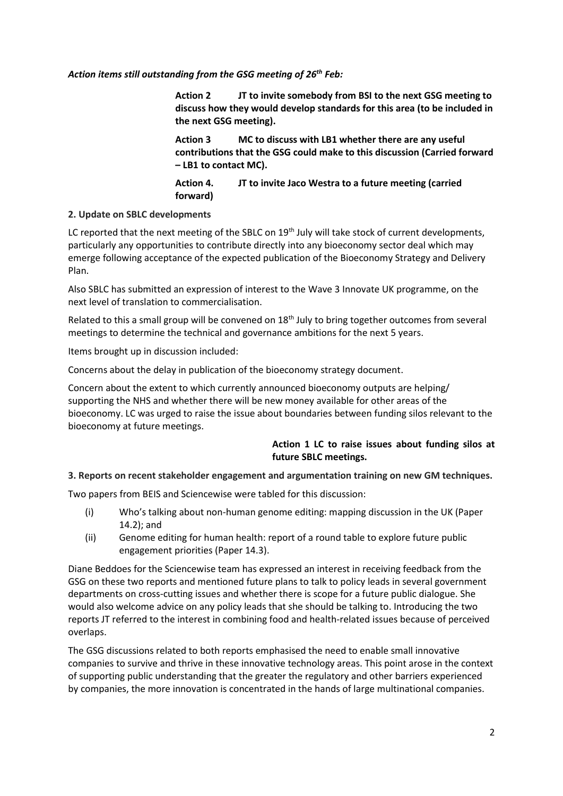### *Action items still outstanding from the GSG meeting of 26 th Feb:*

**Action 2 JT to invite somebody from BSI to the next GSG meeting to discuss how they would develop standards for this area (to be included in the next GSG meeting).**

**Action 3 MC to discuss with LB1 whether there are any useful contributions that the GSG could make to this discussion (Carried forward – LB1 to contact MC).**

**Action 4. JT to invite Jaco Westra to a future meeting (carried forward)**

### **2. Update on SBLC developments**

LC reported that the next meeting of the SBLC on 19<sup>th</sup> July will take stock of current developments, particularly any opportunities to contribute directly into any bioeconomy sector deal which may emerge following acceptance of the expected publication of the Bioeconomy Strategy and Delivery Plan.

Also SBLC has submitted an expression of interest to the Wave 3 Innovate UK programme, on the next level of translation to commercialisation.

Related to this a small group will be convened on 18<sup>th</sup> July to bring together outcomes from several meetings to determine the technical and governance ambitions for the next 5 years.

Items brought up in discussion included:

Concerns about the delay in publication of the bioeconomy strategy document.

Concern about the extent to which currently announced bioeconomy outputs are helping/ supporting the NHS and whether there will be new money available for other areas of the bioeconomy. LC was urged to raise the issue about boundaries between funding silos relevant to the bioeconomy at future meetings.

## **Action 1 LC to raise issues about funding silos at future SBLC meetings.**

**3. Reports on recent stakeholder engagement and argumentation training on new GM techniques.**

Two papers from BEIS and Sciencewise were tabled for this discussion:

- (i) Who's talking about non-human genome editing: mapping discussion in the UK (Paper 14.2); and
- (ii) Genome editing for human health: report of a round table to explore future public engagement priorities (Paper 14.3).

Diane Beddoes for the Sciencewise team has expressed an interest in receiving feedback from the GSG on these two reports and mentioned future plans to talk to policy leads in several government departments on cross-cutting issues and whether there is scope for a future public dialogue. She would also welcome advice on any policy leads that she should be talking to. Introducing the two reports JT referred to the interest in combining food and health-related issues because of perceived overlaps.

The GSG discussions related to both reports emphasised the need to enable small innovative companies to survive and thrive in these innovative technology areas. This point arose in the context of supporting public understanding that the greater the regulatory and other barriers experienced by companies, the more innovation is concentrated in the hands of large multinational companies.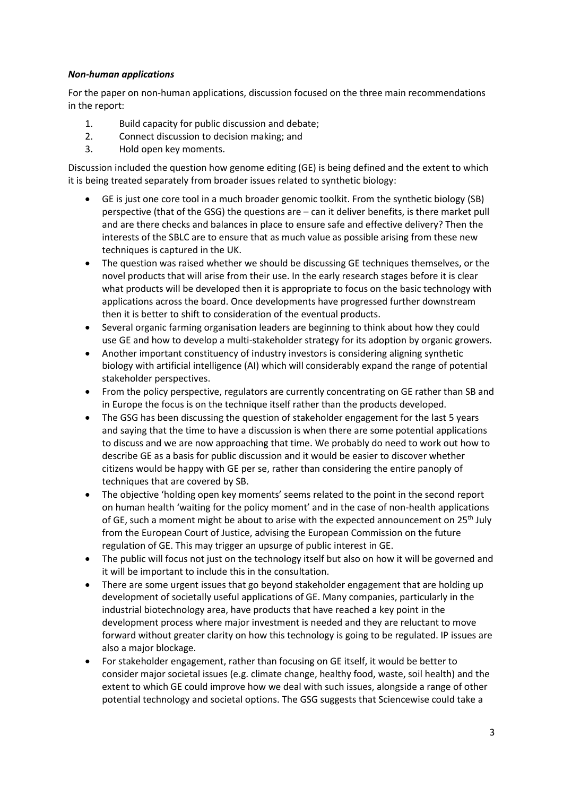### *Non-human applications*

For the paper on non-human applications, discussion focused on the three main recommendations in the report:

- 1. Build capacity for public discussion and debate;
- 2. Connect discussion to decision making; and
- 3. Hold open key moments.

Discussion included the question how genome editing (GE) is being defined and the extent to which it is being treated separately from broader issues related to synthetic biology:

- GE is just one core tool in a much broader genomic toolkit. From the synthetic biology (SB) perspective (that of the GSG) the questions are – can it deliver benefits, is there market pull and are there checks and balances in place to ensure safe and effective delivery? Then the interests of the SBLC are to ensure that as much value as possible arising from these new techniques is captured in the UK.
- The question was raised whether we should be discussing GE techniques themselves, or the novel products that will arise from their use. In the early research stages before it is clear what products will be developed then it is appropriate to focus on the basic technology with applications across the board. Once developments have progressed further downstream then it is better to shift to consideration of the eventual products.
- Several organic farming organisation leaders are beginning to think about how they could use GE and how to develop a multi-stakeholder strategy for its adoption by organic growers.
- Another important constituency of industry investors is considering aligning synthetic biology with artificial intelligence (AI) which will considerably expand the range of potential stakeholder perspectives.
- From the policy perspective, regulators are currently concentrating on GE rather than SB and in Europe the focus is on the technique itself rather than the products developed.
- The GSG has been discussing the question of stakeholder engagement for the last 5 years and saying that the time to have a discussion is when there are some potential applications to discuss and we are now approaching that time. We probably do need to work out how to describe GE as a basis for public discussion and it would be easier to discover whether citizens would be happy with GE per se, rather than considering the entire panoply of techniques that are covered by SB.
- The objective 'holding open key moments' seems related to the point in the second report on human health 'waiting for the policy moment' and in the case of non-health applications of GE, such a moment might be about to arise with the expected announcement on  $25<sup>th</sup>$  July from the European Court of Justice, advising the European Commission on the future regulation of GE. This may trigger an upsurge of public interest in GE.
- The public will focus not just on the technology itself but also on how it will be governed and it will be important to include this in the consultation.
- There are some urgent issues that go beyond stakeholder engagement that are holding up development of societally useful applications of GE. Many companies, particularly in the industrial biotechnology area, have products that have reached a key point in the development process where major investment is needed and they are reluctant to move forward without greater clarity on how this technology is going to be regulated. IP issues are also a major blockage.
- For stakeholder engagement, rather than focusing on GE itself, it would be better to consider major societal issues (e.g. climate change, healthy food, waste, soil health) and the extent to which GE could improve how we deal with such issues, alongside a range of other potential technology and societal options. The GSG suggests that Sciencewise could take a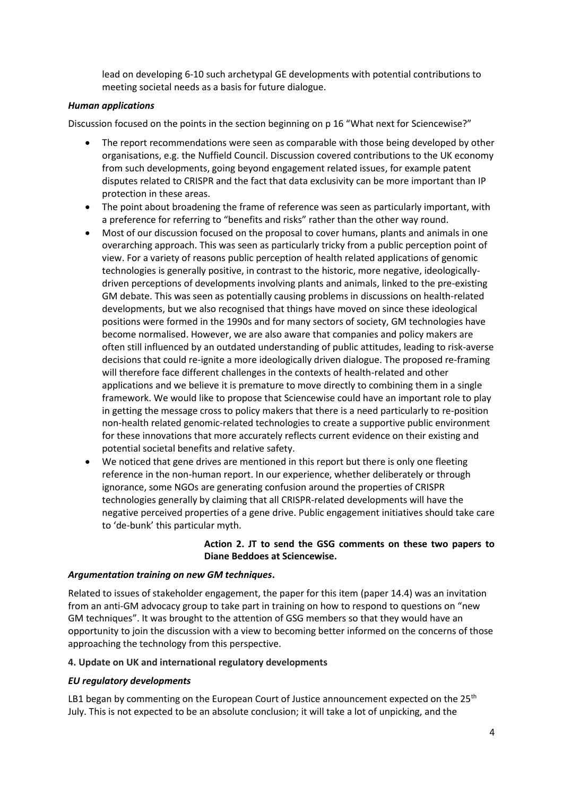lead on developing 6-10 such archetypal GE developments with potential contributions to meeting societal needs as a basis for future dialogue.

### *Human applications*

Discussion focused on the points in the section beginning on p 16 "What next for Sciencewise?"

- The report recommendations were seen as comparable with those being developed by other organisations, e.g. the Nuffield Council. Discussion covered contributions to the UK economy from such developments, going beyond engagement related issues, for example patent disputes related to CRISPR and the fact that data exclusivity can be more important than IP protection in these areas.
- The point about broadening the frame of reference was seen as particularly important, with a preference for referring to "benefits and risks" rather than the other way round.
- Most of our discussion focused on the proposal to cover humans, plants and animals in one overarching approach. This was seen as particularly tricky from a public perception point of view. For a variety of reasons public perception of health related applications of genomic technologies is generally positive, in contrast to the historic, more negative, ideologicallydriven perceptions of developments involving plants and animals, linked to the pre-existing GM debate. This was seen as potentially causing problems in discussions on health-related developments, but we also recognised that things have moved on since these ideological positions were formed in the 1990s and for many sectors of society, GM technologies have become normalised. However, we are also aware that companies and policy makers are often still influenced by an outdated understanding of public attitudes, leading to risk-averse decisions that could re-ignite a more ideologically driven dialogue. The proposed re-framing will therefore face different challenges in the contexts of health-related and other applications and we believe it is premature to move directly to combining them in a single framework. We would like to propose that Sciencewise could have an important role to play in getting the message cross to policy makers that there is a need particularly to re-position non-health related genomic-related technologies to create a supportive public environment for these innovations that more accurately reflects current evidence on their existing and potential societal benefits and relative safety.
- We noticed that gene drives are mentioned in this report but there is only one fleeting reference in the non-human report. In our experience, whether deliberately or through ignorance, some NGOs are generating confusion around the properties of CRISPR technologies generally by claiming that all CRISPR-related developments will have the negative perceived properties of a gene drive. Public engagement initiatives should take care to 'de-bunk' this particular myth.

### **Action 2. JT to send the GSG comments on these two papers to Diane Beddoes at Sciencewise.**

### *Argumentation training on new GM techniques***.**

Related to issues of stakeholder engagement, the paper for this item (paper 14.4) was an invitation from an anti-GM advocacy group to take part in training on how to respond to questions on "new GM techniques". It was brought to the attention of GSG members so that they would have an opportunity to join the discussion with a view to becoming better informed on the concerns of those approaching the technology from this perspective.

### **4. Update on UK and international regulatory developments**

### *EU regulatory developments*

LB1 began by commenting on the European Court of Justice announcement expected on the  $25<sup>th</sup>$ July. This is not expected to be an absolute conclusion; it will take a lot of unpicking, and the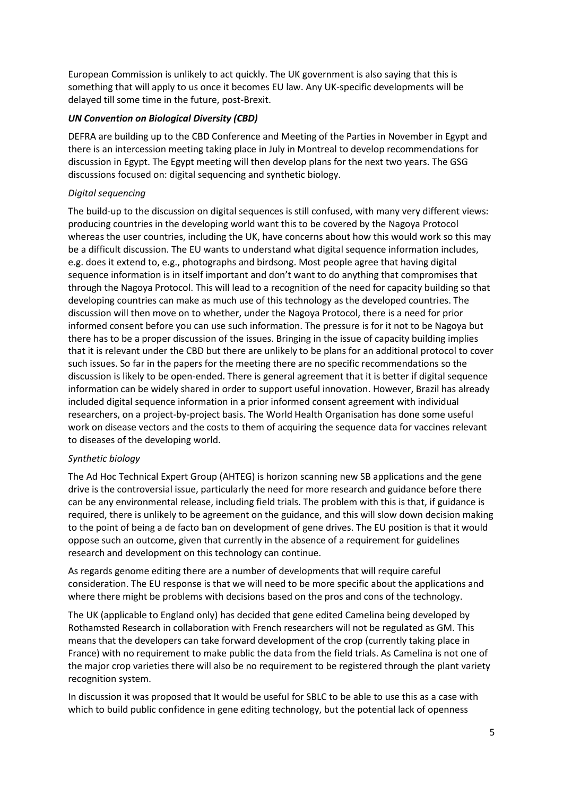European Commission is unlikely to act quickly. The UK government is also saying that this is something that will apply to us once it becomes EU law. Any UK-specific developments will be delayed till some time in the future, post-Brexit.

### *UN Convention on Biological Diversity (CBD)*

DEFRA are building up to the CBD Conference and Meeting of the Parties in November in Egypt and there is an intercession meeting taking place in July in Montreal to develop recommendations for discussion in Egypt. The Egypt meeting will then develop plans for the next two years. The GSG discussions focused on: digital sequencing and synthetic biology.

## *Digital sequencing*

The build-up to the discussion on digital sequences is still confused, with many very different views: producing countries in the developing world want this to be covered by the Nagoya Protocol whereas the user countries, including the UK, have concerns about how this would work so this may be a difficult discussion. The EU wants to understand what digital sequence information includes, e.g. does it extend to, e.g., photographs and birdsong. Most people agree that having digital sequence information is in itself important and don't want to do anything that compromises that through the Nagoya Protocol. This will lead to a recognition of the need for capacity building so that developing countries can make as much use of this technology as the developed countries. The discussion will then move on to whether, under the Nagoya Protocol, there is a need for prior informed consent before you can use such information. The pressure is for it not to be Nagoya but there has to be a proper discussion of the issues. Bringing in the issue of capacity building implies that it is relevant under the CBD but there are unlikely to be plans for an additional protocol to cover such issues. So far in the papers for the meeting there are no specific recommendations so the discussion is likely to be open-ended. There is general agreement that it is better if digital sequence information can be widely shared in order to support useful innovation. However, Brazil has already included digital sequence information in a prior informed consent agreement with individual researchers, on a project-by-project basis. The World Health Organisation has done some useful work on disease vectors and the costs to them of acquiring the sequence data for vaccines relevant to diseases of the developing world.

### *Synthetic biology*

The Ad Hoc Technical Expert Group (AHTEG) is horizon scanning new SB applications and the gene drive is the controversial issue, particularly the need for more research and guidance before there can be any environmental release, including field trials. The problem with this is that, if guidance is required, there is unlikely to be agreement on the guidance, and this will slow down decision making to the point of being a de facto ban on development of gene drives. The EU position is that it would oppose such an outcome, given that currently in the absence of a requirement for guidelines research and development on this technology can continue.

As regards genome editing there are a number of developments that will require careful consideration. The EU response is that we will need to be more specific about the applications and where there might be problems with decisions based on the pros and cons of the technology.

The UK (applicable to England only) has decided that gene edited Camelina being developed by Rothamsted Research in collaboration with French researchers will not be regulated as GM. This means that the developers can take forward development of the crop (currently taking place in France) with no requirement to make public the data from the field trials. As Camelina is not one of the major crop varieties there will also be no requirement to be registered through the plant variety recognition system.

In discussion it was proposed that It would be useful for SBLC to be able to use this as a case with which to build public confidence in gene editing technology, but the potential lack of openness